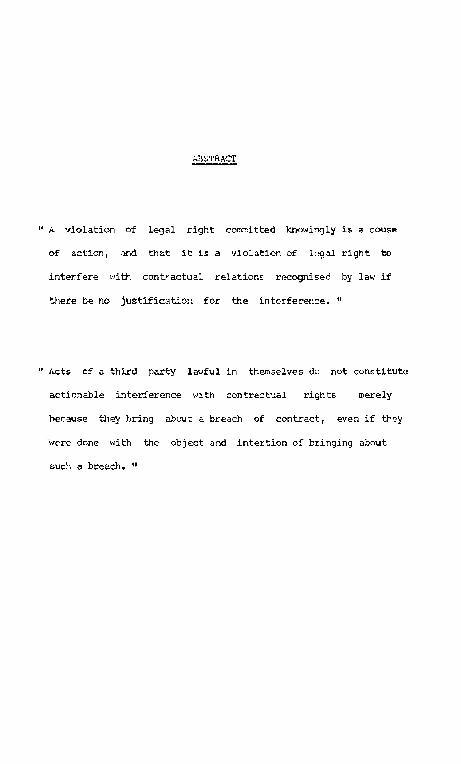## ABSTRACT

- " A violation of legal right committed knowingly is a couse of action, and that it is a violation of legal right to interfere with contractual relations recognised by law if there be no justification for the interference. "
- " Acts of a third party lawful in themselves do not constitute actionable interference with contractual rights merely because they bring about a breach of contract, even if they were done with the object and intertion of bringing about such a breach. "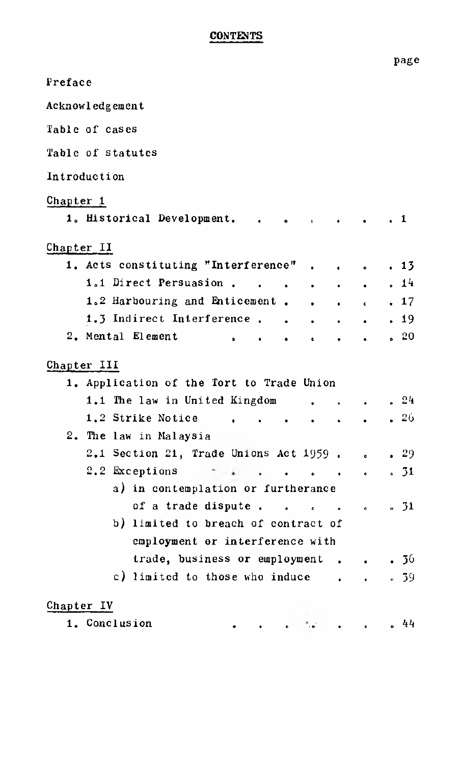## CONTENTS

| Preface                                   |                  |                                  |         |
|-------------------------------------------|------------------|----------------------------------|---------|
| Acknowledgement                           |                  |                                  |         |
| Table of cases                            |                  |                                  |         |
| Table of statutes                         |                  |                                  |         |
| Introduction                              |                  |                                  |         |
| Chapter 1                                 |                  |                                  |         |
| 1. Historical Development. .              |                  |                                  | . 1     |
| Chapter II                                |                  |                                  |         |
| 1. Acts constituting "Interference".      |                  |                                  | . 13    |
|                                           | $\sim$           |                                  |         |
| 1.1 Direct Persuasion                     | $\sim$ 100 $\mu$ |                                  | .14     |
| 1.2 Harbouring and Enticement. 17         |                  |                                  |         |
| 1.3 Indirect Interference                 | $\sim$           |                                  |         |
| 2. Mental Element<br>c.                   |                  |                                  | . 20    |
| Chapter III                               |                  |                                  |         |
| 1. Application of the Tort to Trade Union |                  |                                  |         |
| 1.1 The law in United Kingdom             |                  |                                  | .24     |
| 1.2 Strike Notice<br>$\cdot$              | $\bullet$        |                                  | .26     |
| 2. The law in Malaysia                    |                  |                                  |         |
| 2.1 Section 21, Trade Unions Act 1959.    |                  |                                  | .29     |
| 2.2 Exceptions<br>$\bullet$ $\bullet$     |                  |                                  | .31     |
| a) in contemplation or furtherance        |                  | $\bullet$ . The set of $\bullet$ |         |
|                                           |                  |                                  |         |
| of a trade dispute                        |                  |                                  | .31     |
| b) limited to breach of contract of       |                  |                                  |         |
| employment or interference with           |                  |                                  |         |
| trade, business or employment.            |                  |                                  | . 36    |
| c) limited to those who induce .          |                  | $\ddot{\phantom{0}}$             | 8, 39   |
| Chapter IV                                |                  |                                  |         |
| 1. Conclusion<br>$\bullet$                |                  | $\bullet$ $\bullet$ $\bullet$    | 44<br>۰ |

page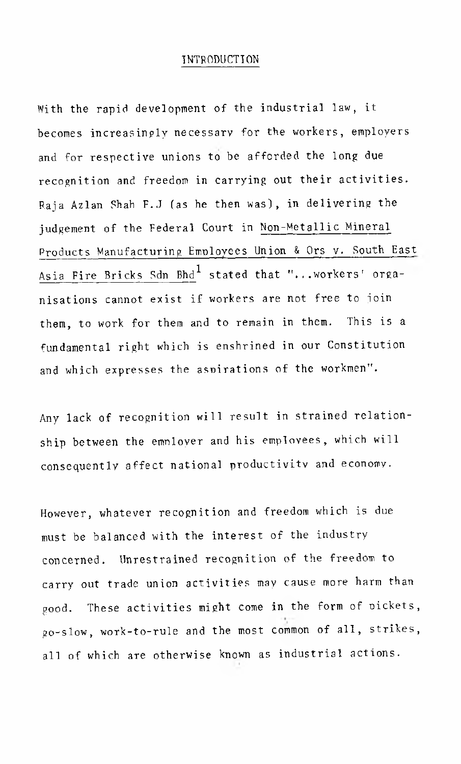## INTRODUCTION

With the rapid development of the industrial law, it becomes increasingly necessary for the workers, employers and for respective unions to be afforded the long due recognition and freedom in carrying out their activities. Raja Azlan Shah F.J (as he then was), in delivering the judgement of the Federal Court in Non-Metallic Mineral Products Manufacturing Employees Union & Ors v. South East Asia Fire Bricks Sdn  $Bh^{1}$  stated that "...workers' organisations cannot exist if workers are not free to join them, to work for them and to remain in them. This is a fundamental right which is enshrined in our Constitution and which expresses the aspirations of the workmen".

Any lack of recognition will result in strained relationship between the employer and his employees, which will consequently affect national productivity and economy.

However, whatever recognition and freedom which is due must be balanced with the interest of the industry concerned. Unrestrained recognition of the freedom to carry out trade union activities may cause more harm than good. These activities might come in the form of pickets, go-slow, work-to-rule and the most common of all, strikes, all of which are otherwise known as industrial actions.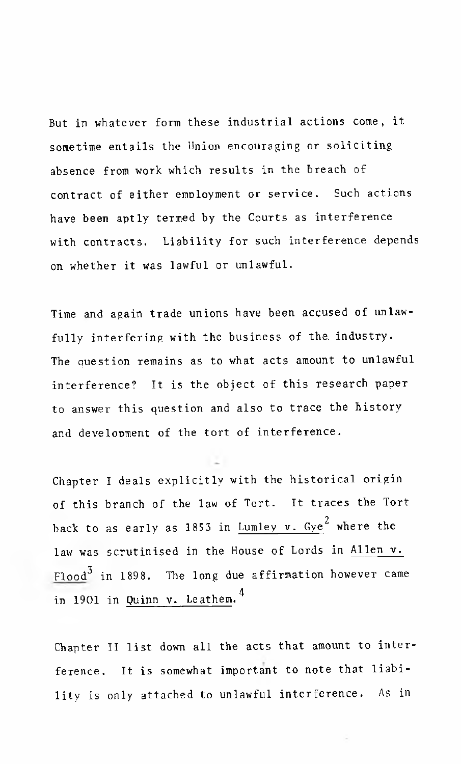But in whatever form these industrial actions come, it sometime entails the Union encouraging or soliciting absence from work which results in the breach of contract of either employment or service. Such actions have been aptly termed by the Courts as interference with contracts. Liability for such interference depends on whether it was lawful or unlawful.

Time and again trade unions have been accused of unlawfully interfering with the business of the. industry. The question remains as to what acts amount to unlawful interference? It is the object of this research paper to answer this question and also to trace the history and development of the tort of interference.

Chapter I deals explicitly with the historical origin of this branch of the law of Tort. It traces the Tort back to as early as 1853 in Lumley v. Gye $^2$  where the law was scrutinised in the House of Lords in Allen v. Flood<sup>3</sup> in 1898. The long due affirmation however came in 1901 in Quinn v. Leathem.<sup>4</sup>

Chapter II list down all the acts that amount to interference. It is somewhat important to note that liability is only attached to unlawful interference. As in